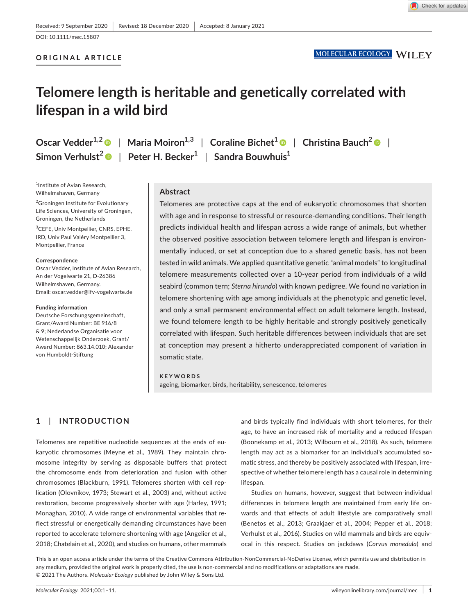DOI: 10.1111/mec.15807

# **ORIGINAL ARTICLE**

# **Telomere length is heritable and genetically correlated with lifespan in a wild bird**

**Oscar Vedder<sup>1,2</sup> • | Maria Moiron<sup>1,3</sup> | Coraline Bichet<sup>1</sup> • | Christina Bauch<sup>2</sup> • | Simon Verhulst<sup>2</sup>** | **Peter H. Becker1** | **Sandra Bouwhuis1**

1 Institute of Avian Research, Wilhelmshaven, Germany

<sup>2</sup>Groningen Institute for Evolutionary Life Sciences, University of Groningen, Groningen, the Netherlands

3 CEFE, Univ Montpellier, CNRS, EPHE, IRD, Univ Paul Valéry Montpellier 3, Montpellier, France

#### **Correspondence**

Oscar Vedder, Institute of Avian Research, An der Vogelwarte 21, D-26386 Wilhelmshaven, Germany. Email: [oscar.vedder@ifv-vogelwarte.de](mailto:oscar.vedder@ifv-vogelwarte.de)

#### **Funding information**

Deutsche Forschungsgemeinschaft, Grant/Award Number: BE 916/8 & 9; Nederlandse Organisatie voor Wetenschappelijk Onderzoek, Grant/ Award Number: 863.14.010; Alexander von Humboldt-Stiftung

## **Abstract**

Telomeres are protective caps at the end of eukaryotic chromosomes that shorten with age and in response to stressful or resource-demanding conditions. Their length predicts individual health and lifespan across a wide range of animals, but whether the observed positive association between telomere length and lifespan is environmentally induced, or set at conception due to a shared genetic basis, has not been tested in wild animals. We applied quantitative genetic "animal models" to longitudinal telomere measurements collected over a 10-year period from individuals of a wild seabird (common tern; *Sterna hirundo*) with known pedigree. We found no variation in telomere shortening with age among individuals at the phenotypic and genetic level, and only a small permanent environmental effect on adult telomere length. Instead, we found telomere length to be highly heritable and strongly positively genetically correlated with lifespan. Such heritable differences between individuals that are set at conception may present a hitherto underappreciated component of variation in somatic state.

#### **KEYWORDS**

ageing, biomarker, birds, heritability, senescence, telomeres

# **1**  | **INTRODUCTION**

Telomeres are repetitive nucleotide sequences at the ends of eukaryotic chromosomes (Meyne et al., 1989). They maintain chromosome integrity by serving as disposable buffers that protect the chromosome ends from deterioration and fusion with other chromosomes (Blackburn, 1991). Telomeres shorten with cell replication (Olovnikov, 1973; Stewart et al., 2003) and, without active restoration, become progressively shorter with age (Harley, 1991; Monaghan, 2010). A wide range of environmental variables that reflect stressful or energetically demanding circumstances have been reported to accelerate telomere shortening with age (Angelier et al., 2018; Chatelain et al., 2020), and studies on humans, other mammals

and birds typically find individuals with short telomeres, for their age, to have an increased risk of mortality and a reduced lifespan (Boonekamp et al., 2013; Wilbourn et al., 2018). As such, telomere length may act as a biomarker for an individual's accumulated somatic stress, and thereby be positively associated with lifespan, irrespective of whether telomere length has a causal role in determining lifespan.

Studies on humans, however, suggest that between-individual differences in telomere length are maintained from early life onwards and that effects of adult lifestyle are comparatively small (Benetos et al., 2013; Graakjaer et al., 2004; Pepper et al., 2018; Verhulst et al., 2016). Studies on wild mammals and birds are equivocal in this respect. Studies on jackdaws (*Corvus monedula*) and

This is an open access article under the terms of the [Creative Commons Attribution-NonCommercial-NoDerivs](http://creativecommons.org/licenses/by-nc-nd/4.0/) License, which permits use and distribution in any medium, provided the original work is properly cited, the use is non-commercial and no modifications or adaptations are made. © 2021 The Authors. *Molecular Ecology* published by John Wiley & Sons Ltd.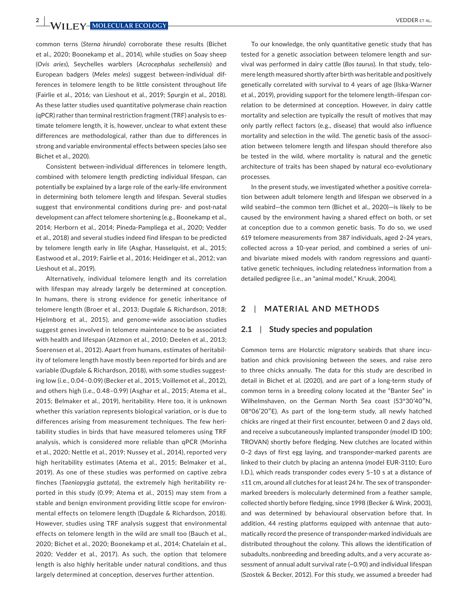**2 WII FY-MOLECULAR ECOLOGY EXAMPLE 2 PEDDER ET AL.** 

common terns (*Sterna hirundo*) corroborate these results (Bichet et al., 2020; Boonekamp et al., 2014), while studies on Soay sheep (*Ovis aries*), Seychelles warblers (*Acrocephalus sechellensis*) and European badgers (*Meles meles*) suggest between-individual differences in telomere length to be little consistent throughout life (Fairlie et al., 2016; van Lieshout et al., 2019; Spurgin et al., 2018). As these latter studies used quantitative polymerase chain reaction (qPCR) rather than terminal restriction fragment (TRF) analysis to estimate telomere length, it is, however, unclear to what extent these differences are methodological, rather than due to differences in strong and variable environmental effects between species (also see Bichet et al., 2020).

Consistent between-individual differences in telomere length, combined with telomere length predicting individual lifespan, can potentially be explained by a large role of the early-life environment in determining both telomere length and lifespan. Several studies suggest that environmental conditions during pre- and post-natal development can affect telomere shortening (e.g., Boonekamp et al., 2014; Herborn et al., 2014; Pineda-Pampliega et al., 2020; Vedder et al., 2018) and several studies indeed find lifespan to be predicted by telomere length early in life (Asghar, Hasselquist, et al., 2015; Eastwood et al., 2019; Fairlie et al., 2016; Heidinger et al., 2012; van Lieshout et al., 2019).

Alternatively, individual telomere length and its correlation with lifespan may already largely be determined at conception. In humans, there is strong evidence for genetic inheritance of telomere length (Broer et al., 2013; Dugdale & Richardson, 2018; Hjelmborg et al., 2015), and genome-wide association studies suggest genes involved in telomere maintenance to be associated with health and lifespan (Atzmon et al., 2010; Deelen et al., 2013; Soerensen et al., 2012). Apart from humans, estimates of heritability of telomere length have mostly been reported for birds and are variable (Dugdale & Richardson, 2018), with some studies suggesting low (i.e., 0.04–0.09) (Becker et al., 2015; Voillemot et al., 2012), and others high (i.e., 0.48–0.99) (Asghar et al., 2015; Atema et al., 2015; Belmaker et al., 2019), heritability. Here too, it is unknown whether this variation represents biological variation, or is due to differences arising from measurement techniques. The few heritability studies in birds that have measured telomeres using TRF analysis, which is considered more reliable than qPCR (Morinha et al., 2020; Nettle et al., 2019; Nussey et al., 2014), reported very high heritability estimates (Atema et al., 2015; Belmaker et al., 2019). As one of these studies was performed on captive zebra finches (*Taeniopygia guttata*), the extremely high heritability reported in this study (0.99; Atema et al., 2015) may stem from a stable and benign environment providing little scope for environmental effects on telomere length (Dugdale & Richardson, 2018). However, studies using TRF analysis suggest that environmental effects on telomere length in the wild are small too (Bauch et al., 2020; Bichet et al., 2020; Boonekamp et al., 2014; Chatelain et al., 2020; Vedder et al., 2017). As such, the option that telomere length is also highly heritable under natural conditions, and thus largely determined at conception, deserves further attention.

To our knowledge, the only quantitative genetic study that has tested for a genetic association between telomere length and survival was performed in dairy cattle (*Bos taurus*). In that study, telomere length measured shortly after birth was heritable and positively genetically correlated with survival to 4 years of age (Ilska-Warner et al., 2019), providing support for the telomere length–lifespan correlation to be determined at conception. However, in dairy cattle mortality and selection are typically the result of motives that may only partly reflect factors (e.g., disease) that would also influence mortality and selection in the wild. The genetic basis of the association between telomere length and lifespan should therefore also be tested in the wild, where mortality is natural and the genetic architecture of traits has been shaped by natural eco-evolutionary processes.

In the present study, we investigated whether a positive correlation between adult telomere length and lifespan we observed in a wild seabird—the common tern (Bichet et al., 2020)—is likely to be caused by the environment having a shared effect on both, or set at conception due to a common genetic basis. To do so, we used 619 telomere measurements from 387 individuals, aged 2–24 years, collected across a 10-year period, and combined a series of uniand bivariate mixed models with random regressions and quantitative genetic techniques, including relatedness information from a detailed pedigree (i.e., an "animal model," Kruuk, 2004).

## **2**  | **MATERIAL AND METHODS**

#### **2.1**  | **Study species and population**

Common terns are Holarctic migratory seabirds that share incubation and chick provisioning between the sexes, and raise zero to three chicks annually. The data for this study are described in detail in Bichet et al. (2020), and are part of a long-term study of common terns in a breeding colony located at the "Banter See" in Wilhelmshaven, on the German North Sea coast (53°30′40″N, 08°06′20″E). As part of the long-term study, all newly hatched chicks are ringed at their first encounter, between 0 and 2 days old, and receive a subcutaneously implanted transponder (model ID 100; TROVAN) shortly before fledging. New clutches are located within 0–2 days of first egg laying, and transponder-marked parents are linked to their clutch by placing an antenna (model EUR-3110; Euro I.D.), which reads transponder codes every 5–10 s at a distance of ≤11 cm, around all clutches for at least 24 hr. The sex of transpondermarked breeders is molecularly determined from a feather sample, collected shortly before fledging, since 1998 (Becker & Wink, 2003), and was determined by behavioural observation before that. In addition, 44 resting platforms equipped with antennae that automatically record the presence of transponder-marked individuals are distributed throughout the colony. This allows the identification of subadults, nonbreeding and breeding adults, and a very accurate assessment of annual adult survival rate (~0.90) and individual lifespan (Szostek & Becker, 2012). For this study, we assumed a breeder had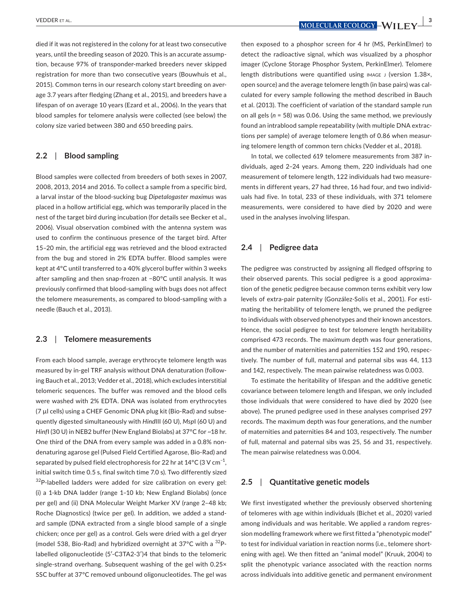died if it was not registered in the colony for at least two consecutive years, until the breeding season of 2020. This is an accurate assumption, because 97% of transponder-marked breeders never skipped registration for more than two consecutive years (Bouwhuis et al., 2015). Common terns in our research colony start breeding on average 3.7 years after fledging (Zhang et al., 2015), and breeders have a lifespan of on average 10 years (Ezard et al., 2006). In the years that blood samples for telomere analysis were collected (see below) the colony size varied between 380 and 650 breeding pairs.

## **2.2**  | **Blood sampling**

Blood samples were collected from breeders of both sexes in 2007, 2008, 2013, 2014 and 2016. To collect a sample from a specific bird, a larval instar of the blood-sucking bug *Dipetalogaster maximus* was placed in a hollow artificial egg, which was temporarily placed in the nest of the target bird during incubation (for details see Becker et al., 2006). Visual observation combined with the antenna system was used to confirm the continuous presence of the target bird. After 15–20 min, the artificial egg was retrieved and the blood extracted from the bug and stored in 2% EDTA buffer. Blood samples were kept at 4°C until transferred to a 40% glycerol buffer within 3 weeks after sampling and then snap-frozen at −80°C until analysis. It was previously confirmed that blood-sampling with bugs does not affect the telomere measurements, as compared to blood-sampling with a needle (Bauch et al., 2013).

### **2.3**  | **Telomere measurements**

From each blood sample, average erythrocyte telomere length was measured by in-gel TRF analysis without DNA denaturation (following Bauch et al., 2013; Vedder et al., 2018), which excludes interstitial telomeric sequences. The buffer was removed and the blood cells were washed with 2% EDTA. DNA was isolated from erythrocytes (7 µl cells) using a CHEF Genomic DNA plug kit (Bio-Rad) and subsequently digested simultaneously with *Hind*III (60 U), *Msp*I (60 U) and *Hinf*I (30 U) in NEB2 buffer (New England Biolabs) at 37°C for ~18 hr. One third of the DNA from every sample was added in a 0.8% nondenaturing agarose gel (Pulsed Field Certified Agarose, Bio-Rad) and separated by pulsed field electrophoresis for 22 hr at 14°C (3 V cm $^{-1}$ , initial switch time 0.5 s, final switch time 7.0 s). Two differently sized  $32P$ -labelled ladders were added for size calibration on every gel: (i) a 1-kb DNA ladder (range 1–10 kb; New England Biolabs) (once per gel) and (ii) DNA Molecular Weight Marker XV (range 2–48 kb; Roche Diagnostics) (twice per gel). In addition, we added a standard sample (DNA extracted from a single blood sample of a single chicken; once per gel) as a control. Gels were dried with a gel dryer (model 538, Bio-Rad) and hybridized overnight at  $37^{\circ}$ C with a  $32^{\circ}$ Plabelled oligonucleotide (5′-C3TA2-3′)4 that binds to the telomeric single-strand overhang. Subsequent washing of the gel with 0.25× SSC buffer at 37°C removed unbound oligonucleotides. The gel was

then exposed to a phosphor screen for 4 hr (MS, PerkinElmer) to detect the radioactive signal, which was visualized by a phosphor imager (Cyclone Storage Phosphor System, PerkinElmer). Telomere length distributions were quantified using IMAGE J (version 1.38x, open source) and the average telomere length (in base pairs) was calculated for every sample following the method described in Bauch et al. (2013). The coefficient of variation of the standard sample run on all gels (*n* = 58) was 0.06. Using the same method, we previously found an intrablood sample repeatability (with multiple DNA extractions per sample) of average telomere length of 0.86 when measuring telomere length of common tern chicks (Vedder et al., 2018).

In total, we collected 619 telomere measurements from 387 individuals, aged 2–24 years. Among them, 220 individuals had one measurement of telomere length, 122 individuals had two measurements in different years, 27 had three, 16 had four, and two individuals had five. In total, 233 of these individuals, with 371 telomere measurements, were considered to have died by 2020 and were used in the analyses involving lifespan.

## **2.4**  | **Pedigree data**

The pedigree was constructed by assigning all fledged offspring to their observed parents. This social pedigree is a good approximation of the genetic pedigree because common terns exhibit very low levels of extra-pair paternity (González-Solís et al., 2001). For estimating the heritability of telomere length, we pruned the pedigree to individuals with observed phenotypes and their known ancestors. Hence, the social pedigree to test for telomere length heritability comprised 473 records. The maximum depth was four generations, and the number of maternities and paternities 152 and 190, respectively. The number of full, maternal and paternal sibs was 44, 113 and 142, respectively. The mean pairwise relatedness was 0.003.

To estimate the heritability of lifespan and the additive genetic covariance between telomere length and lifespan, we only included those individuals that were considered to have died by 2020 (see above). The pruned pedigree used in these analyses comprised 297 records. The maximum depth was four generations, and the number of maternities and paternities 84 and 103, respectively. The number of full, maternal and paternal sibs was 25, 56 and 31, respectively. The mean pairwise relatedness was 0.004.

## **2.5**  | **Quantitative genetic models**

We first investigated whether the previously observed shortening of telomeres with age within individuals (Bichet et al., 2020) varied among individuals and was heritable. We applied a random regression modelling framework where we first fitted a "phenotypic model" to test for individual variation in reaction norms (i.e., telomere shortening with age). We then fitted an "animal model" (Kruuk, 2004) to split the phenotypic variance associated with the reaction norms across individuals into additive genetic and permanent environment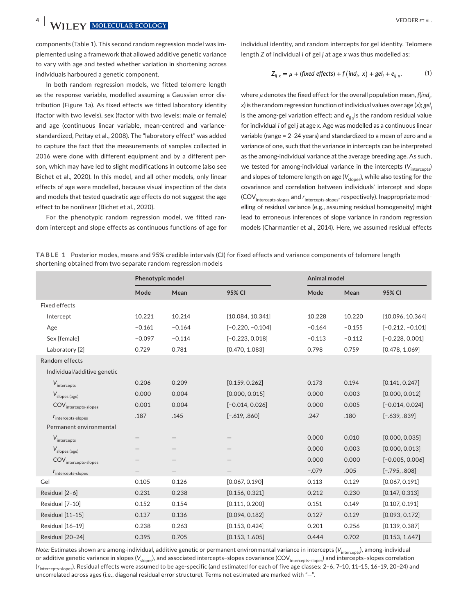**4 <sup>|</sup>**  VEDDER et al.

components (Table 1). This second random regression model was implemented using a framework that allowed additive genetic variance to vary with age and tested whether variation in shortening across individuals harboured a genetic component.

In both random regression models, we fitted telomere length as the response variable, modelled assuming a Gaussian error distribution (Figure 1a). As fixed effects we fitted laboratory identity (factor with two levels), sex (factor with two levels: male or female) and age (continuous linear variable, mean-centred and variancestandardized, Pettay et al., 2008). The "laboratory effect" was added to capture the fact that the measurements of samples collected in 2016 were done with different equipment and by a different person, which may have led to slight modifications in outcome (also see Bichet et al., 2020). In this model, and all other models, only linear effects of age were modelled, because visual inspection of the data and models that tested quadratic age effects do not suggest the age effect to be nonlinear (Bichet et al., 2020).

For the phenotypic random regression model, we fitted random intercept and slope effects as continuous functions of age for

individual identity, and random intercepts for gel identity. Telomere length *Z* of individual *i* of gel *j* at age *x* was thus modelled as:

$$
Z_{ij\ x} = \mu + (\text{fixed effects}) + f(\text{ind}_i, x) + \text{gel}_j + e_{ij\ x},\tag{1}
$$

where *μ* denotes the fixed effect for the overall population mean, *f*(*indi , x*) is the random regression function of individual values over age (*x*); *gelj* is the among-gel variation effect; and  $e_{ii}$  is the random residual value for individual *i* of gel *j* at age *x*. Age was modelled as a continuous linear variable (range = 2–24 years) and standardized to a mean of zero and a variance of one, such that the variance in intercepts can be interpreted as the among-individual variance at the average breeding age. As such, we tested for among-individual variance in the intercepts (V<sub>intercents</sub>) and slopes of telomere length on age  $(V_{\text{slope}})$ , while also testing for the covariance and correlation between individuals' intercept and slope (COV<sub>intercepts-slopes</sub> and *r*<sub>intercepts-slopes</sub>, respectively). Inappropriate modelling of residual variance (e.g., assuming residual homogeneity) might lead to erroneous inferences of slope variance in random regression models (Charmantier et al., 2014). Here, we assumed residual effects

|  | TABLE 1 Posterior modes, means and 95% credible intervals (CI) for fixed effects and variance components of telomere length |  |  |  |  |
|--|-----------------------------------------------------------------------------------------------------------------------------|--|--|--|--|
|  | shortening obtained from two separate random regression models                                                              |  |  |  |  |

|                                                    | Phenotypic model |          |                    | Animal model |          |                    |  |
|----------------------------------------------------|------------------|----------|--------------------|--------------|----------|--------------------|--|
|                                                    | Mode             | Mean     | 95% CI             | Mode         | Mean     | 95% CI             |  |
| <b>Fixed effects</b>                               |                  |          |                    |              |          |                    |  |
| Intercept                                          | 10.221           | 10.214   | [10.084, 10.341]   | 10.228       | 10.220   | [10.096, 10.364]   |  |
| Age                                                | $-0.161$         | $-0.164$ | $[-0.220, -0.104]$ | $-0.164$     | $-0.155$ | $[-0.212, -0.101]$ |  |
| Sex [female]                                       | $-0.097$         | $-0.114$ | $[-0.223, 0.018]$  | $-0.113$     | $-0.112$ | $[-0.228, 0.001]$  |  |
| Laboratory [2]                                     | 0.729            | 0.781    | [0.470, 1.083]     | 0.798        | 0.759    | [0.478, 1.069]     |  |
| Random effects                                     |                  |          |                    |              |          |                    |  |
| Individual/additive genetic                        |                  |          |                    |              |          |                    |  |
| $V_{\hbox{\scriptsize intercepts}}$                | 0.206            | 0.209    | [0.159, 0.262]     | 0.173        | 0.194    | [0.141, 0.247]     |  |
| $V_{\text{slopes (age)}}$                          | 0.000            | 0.004    | [0.000, 0.015]     | 0.000        | 0.003    | [0.000, 0.012]     |  |
| $\mathsf{COV}_{\mathsf{intercepts\text{-}slopes}}$ | 0.001            | 0.004    | $[-0.014, 0.026]$  | 0.000        | 0.005    | $[-0.014, 0.024]$  |  |
| $r_{\text{intercepts-slopes}}$                     | .187             | .145     | $[-.619, .860]$    | .247         | .180     | $[-.639, .839]$    |  |
| Permanent environmental                            |                  |          |                    |              |          |                    |  |
| $V_{intercepts}$                                   |                  |          |                    | 0.000        | 0.010    | [0.000, 0.035]     |  |
| $V_{\text{slopes (age)}}$                          |                  |          |                    | 0.000        | 0.003    | [0.000, 0.013]     |  |
| $\textsf{COV}_{\textsf{intercepts-slopes}}$        |                  |          |                    | 0.000        | 0.000    | $[-0.005, 0.006]$  |  |
| $r_{\text{intercepts-slopes}}$                     |                  | -        |                    | $-.079$      | .005     | $[-.795, .808]$    |  |
| Gel                                                | 0.105            | 0.126    | [0.067, 0.190]     | 0.113        | 0.129    | [0.067, 0.191]     |  |
| Residual [2-6]                                     | 0.231            | 0.238    | [0.156, 0.321]     | 0.212        | 0.230    | [0.147, 0.313]     |  |
| Residual [7-10]                                    | 0.152            | 0.154    | [0.111, 0.200]     | 0.151        | 0.149    | [0.107, 0.191]     |  |
| Residual [11-15]                                   | 0.137            | 0.136    | [0.094, 0.182]     | 0.127        | 0.129    | [0.093, 0.172]     |  |
| Residual [16-19]                                   | 0.238            | 0.263    | [0.153, 0.424]     | 0.201        | 0.256    | [0.139, 0.387]     |  |
| Residual [20-24]                                   | 0.395            | 0.705    | [0.153, 1.605]     | 0.444        | 0.702    | [0.153, 1.647]     |  |

*Note*: Estimates shown are among-individual, additive genetic or permanent environmental variance in intercepts (V<sub>intercepts</sub>), among-individual or additive genetic variance in slopes (V<sub>slopes</sub>), and associated intercepts-slopes covariance (COV<sub>intercepts-slopes</sub>) and intercepts-slopes correlation (*r*intercepts-slopes). Residual effects were assumed to be age-specific (and estimated for each of five age classes: 2–6, 7–10, 11–15, 16–19, 20–24) and uncorrelated across ages (i.e., diagonal residual error structure). Terms not estimated are marked with "—".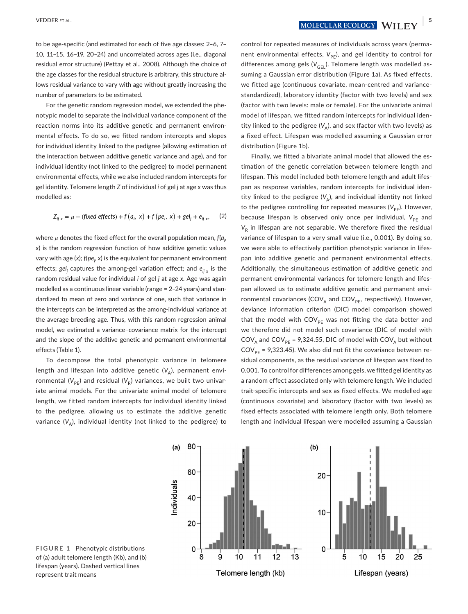**<u>YEDDER ET AL.**  $\frac{1}{2}$  **MOLECULAR ECOLOGY** WILL FV  $\frac{1}{2}$ </u>

to be age-specific (and estimated for each of five age classes: 2–6, 7– 10, 11–15, 16–19, 20–24) and uncorrelated across ages (i.e., diagonal residual error structure) (Pettay et al., 2008). Although the choice of the age classes for the residual structure is arbitrary, this structure allows residual variance to vary with age without greatly increasing the number of parameters to be estimated.

For the genetic random regression model, we extended the phenotypic model to separate the individual variance component of the reaction norms into its additive genetic and permanent environmental effects. To do so, we fitted random intercepts and slopes for individual identity linked to the pedigree (allowing estimation of the interaction between additive genetic variance and age), and for individual identity (not linked to the pedigree) to model permanent environmental effects, while we also included random intercepts for gel identity. Telomere length *Z* of individual *i* of gel *j* at age *x* was thus modelled as:

$$
Z_{ij\ x} = \mu + (\text{fixed effects}) + f(a_i, x) + f(pe_i, x) + gel_j + e_{ij\ x},
$$
 (2)

where  $\mu$  denotes the fixed effect for the overall population mean, f( $a_{\scriptscriptstyle\mathit{p}}$ , *x*) is the random regression function of how additive genetic values vary with age (x); *f*(pe<sub>i</sub>, x) is the equivalent for permanent environment effects; *gelj* captures the among-gel variation effect; and *eij x* is the random residual value for individual *i* of gel *j* at age *x*. Age was again modelled as a continuous linear variable (range = 2–24 years) and standardized to mean of zero and variance of one, such that variance in the intercepts can be interpreted as the among-individual variance at the average breeding age. Thus, with this random regression animal model, we estimated a variance–covariance matrix for the intercept and the slope of the additive genetic and permanent environmental effects (Table 1).

To decompose the total phenotypic variance in telomere length and lifespan into additive genetic  $(V_{\Delta})$ , permanent environmental ( $V_{PE}$ ) and residual ( $V_R$ ) variances, we built two univariate animal models. For the univariate animal model of telomere length, we fitted random intercepts for individual identity linked to the pedigree, allowing us to estimate the additive genetic variance  $(V_{\Delta})$ , individual identity (not linked to the pedigree) to

control for repeated measures of individuals across years (permanent environmental effects, V<sub>PF</sub>), and gel identity to control for differences among gels  $(V_{\text{GE}})$ . Telomere length was modelled assuming a Gaussian error distribution (Figure 1a). As fixed effects, we fitted age (continuous covariate, mean-centred and variancestandardized), laboratory identity (factor with two levels) and sex (factor with two levels: male or female). For the univariate animal model of lifespan, we fitted random intercepts for individual identity linked to the pedigree  $(V_{\Delta})$ , and sex (factor with two levels) as a fixed effect. Lifespan was modelled assuming a Gaussian error distribution (Figure 1b).

Finally, we fitted a bivariate animal model that allowed the estimation of the genetic correlation between telomere length and lifespan. This model included both telomere length and adult lifespan as response variables, random intercepts for individual identity linked to the pedigree  $(V_A)$ , and individual identity not linked to the pedigree controlling for repeated measures (V<sub>PE</sub>). However, because lifespan is observed only once per individual, V<sub>PE</sub> and  $V_R$  in lifespan are not separable. We therefore fixed the residual variance of lifespan to a very small value (i.e., 0.001). By doing so, we were able to effectively partition phenotypic variance in lifespan into additive genetic and permanent environmental effects. Additionally, the simultaneous estimation of additive genetic and permanent environmental variances for telomere length and lifespan allowed us to estimate additive genetic and permanent environmental covariances (COV<sub>A</sub> and COV<sub>PF</sub>, respectively). However, deviance information criterion (DIC) model comparison showed that the model with  $COV_{\text{PF}}$  was not fitting the data better and we therefore did not model such covariance (DIC of model with  $COV_A$  and  $COV_{PE}$  = 9,324.55, DIC of model with  $COV_A$  but without  $COV_{PF}$  = 9,323.45). We also did not fit the covariance between residual components, as the residual variance of lifespan was fixed to 0.001. To control for differences among gels, we fitted gel identity as a random effect associated only with telomere length. We included trait-specific intercepts and sex as fixed effects. We modelled age (continuous covariate) and laboratory (factor with two levels) as fixed effects associated with telomere length only. Both telomere length and individual lifespan were modelled assuming a Gaussian



**FIGURE 1** Phenotypic distributions of (a) adult telomere length (Kb), and (b) lifespan (years). Dashed vertical lines represent trait means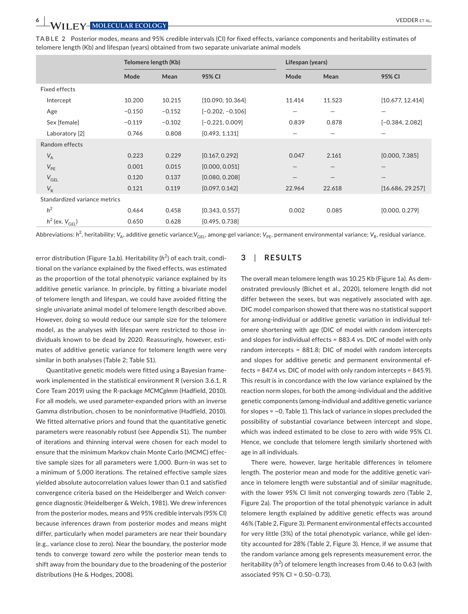| TABLE 2 Posterior modes, means and 95% credible intervals (CI) for fixed effects, variance components and heritability estimates of |  |
|-------------------------------------------------------------------------------------------------------------------------------------|--|
| telomere length (Kb) and lifespan (years) obtained from two separate univariate animal models                                       |  |

|                               | Telomere length (Kb) |          |                    | Lifespan (years) |                   |                   |  |
|-------------------------------|----------------------|----------|--------------------|------------------|-------------------|-------------------|--|
|                               | Mode                 | Mean     | 95% CI             | Mode             | Mean              | 95% CI            |  |
| Fixed effects                 |                      |          |                    |                  |                   |                   |  |
| Intercept                     | 10.200               | 10.215   | [10.090, 10.364]   | 11.414           | 11.523            | [10.677, 12.414]  |  |
| Age                           | $-0.150$             | $-0.152$ | $[-0.202, -0.106]$ |                  | -                 |                   |  |
| Sex [female]                  | $-0.119$             | $-0.102$ | $[-0.221, 0.009]$  | 0.839            | 0.878             | $[-0.384, 2.082]$ |  |
| Laboratory [2]                | 0.746                | 0.808    | [0.493, 1.131]     |                  |                   |                   |  |
| Random effects                |                      |          |                    |                  |                   |                   |  |
| $V_A$                         | 0.223                | 0.229    | [0.167, 0.292]     | 0.047            | 2.161             | [0.000, 7.385]    |  |
| $V_{PE}$                      | 0.001                | 0.015    | [0.000, 0.051]     |                  | $\qquad \qquad -$ |                   |  |
| $V_{GEL}$                     | 0.120                | 0.137    | [0.080, 0.208]     |                  |                   |                   |  |
| $V_R$                         | 0.121                | 0.119    | [0.097, 0.142]     | 22.964           | 22.618            | [16.686, 29.257]  |  |
| Standardized variance metrics |                      |          |                    |                  |                   |                   |  |
| h <sup>2</sup>                | 0.464                | 0.458    | [0.343, 0.557]     | 0.002            | 0.085             | [0.000, 0.279]    |  |
| $h^2$ (ex. $V_{\text{GEL}}$ ) | 0.650                | 0.628    | [0.495, 0.738]     |                  |                   |                   |  |

Abbreviations: h<sup>2</sup>, heritability; V<sub>A</sub>, additive genetic variance;V<sub>GEL</sub>, among-gel variance; V<sub>PE</sub>, permanent environmental variance; V<sub>R</sub>, residual variance.

error distribution (Figure 1a,b). Heritability (h<sup>2</sup>) of each trait, conditional on the variance explained by the fixed effects, was estimated as the proportion of the total phenotypic variance explained by its additive genetic variance. In principle, by fitting a bivariate model of telomere length and lifespan, we could have avoided fitting the single univariate animal model of telomere length described above. However, doing so would reduce our sample size for the telomere model, as the analyses with lifespan were restricted to those individuals known to be dead by 2020. Reassuringly, however, estimates of additive genetic variance for telomere length were very similar in both analyses (Table 2; Table S1).

Quantitative genetic models were fitted using a Bayesian framework implemented in the statistical environment R (version 3.6.1, R Core Team 2019) using the R-package *MCMCglmm* (Hadfield, 2010). For all models, we used parameter-expanded priors with an inverse Gamma distribution, chosen to be noninformative (Hadfield, 2010). We fitted alternative priors and found that the quantitative genetic parameters were reasonably robust (see Appendix S1). The number of iterations and thinning interval were chosen for each model to ensure that the minimum Markov chain Monte Carlo (MCMC) effective sample sizes for all parameters were 1,000. Burn-in was set to a minimum of 5,000 iterations. The retained effective sample sizes yielded absolute autocorrelation values lower than 0.1 and satisfied convergence criteria based on the Heidelberger and Welch convergence diagnostic (Heidelberger & Welch, 1981). We drew inferences from the posterior modes, means and 95% credible intervals (95% CI) because inferences drawn from posterior modes and means might differ, particularly when model parameters are near their boundary (e.g., variance close to zero). Near the boundary, the posterior mode tends to converge toward zero while the posterior mean tends to shift away from the boundary due to the broadening of the posterior distributions (He & Hodges, 2008).

# **3**  | **RESULTS**

The overall mean telomere length was 10.25 Kb (Figure 1a). As demonstrated previously (Bichet et al., 2020), telomere length did not differ between the sexes, but was negatively associated with age. DIC model comparison showed that there was no statistical support for among-individual or additive genetic variation in individual telomere shortening with age (DIC of model with random intercepts and slopes for individual effects = 883.4 vs. DIC of model with only random intercepts = 881.8; DIC of model with random intercepts and slopes for additive genetic and permanent environmental effects = 847.4 vs. DIC of model with only random intercepts = 845.9). This result is in concordance with the low variance explained by the reaction norm slopes, for both the among-individual and the additive genetic components (among-individual and additive genetic variance for slopes = ~0, Table 1). This lack of variance in slopes precluded the possibility of substantial covariance between intercept and slope, which was indeed estimated to be close to zero with wide 95% CI. Hence, we conclude that telomere length similarly shortened with age in all individuals.

There were, however, large heritable differences in telomere length. The posterior mean and mode for the additive genetic variance in telomere length were substantial and of similar magnitude, with the lower 95% CI limit not converging towards zero (Table 2, Figure 2a). The proportion of the total phenotypic variance in adult telomere length explained by additive genetic effects was around 46% (Table 2, Figure 3). Permanent environmental effects accounted for very little (3%) of the total phenotypic variance, while gel identity accounted for 28% (Table 2, Figure 3). Hence, if we assume that the random variance among gels represents measurement error, the heritability (h<sup>2</sup>) of telomere length increases from 0.46 to 0.63 (with associated 95% CI = 0.50–0.73).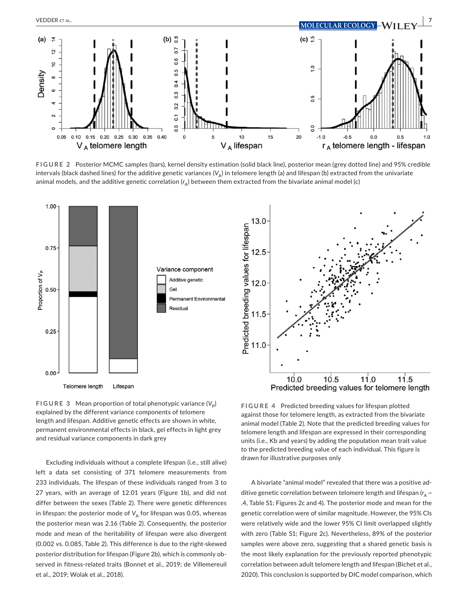

**FIGURE 2** Posterior MCMC samples (bars), kernel density estimation (solid black line), posterior mean (grey dotted line) and 95% credible intervals (black dashed lines) for the additive genetic variances  $(V_A)$  in telomere length (a) and lifespan (b) extracted from the univariate animal models, and the additive genetic correlation (r<sub>A</sub>) between them extracted from the bivariate animal model (c)



**FIGURE 3** Mean proportion of total phenotypic variance  $(V_p)$ explained by the different variance components of telomere length and lifespan. Additive genetic effects are shown in white, permanent environmental effects in black, gel effects in light grey and residual variance components in dark grey

Excluding individuals without a complete lifespan (i.e., still alive) left a data set consisting of 371 telomere measurements from 233 individuals. The lifespan of these individuals ranged from 3 to 27 years, with an average of 12.01 years (Figure 1b), and did not differ between the sexes (Table 2). There were genetic differences in lifespan: the posterior mode of  $V_A$  for lifespan was 0.05, whereas the posterior mean was 2.16 (Table 2). Consequently, the posterior mode and mean of the heritability of lifespan were also divergent (0.002 vs. 0.085, Table 2). This difference is due to the right-skewed posterior distribution for lifespan (Figure 2b), which is commonly observed in fitness-related traits (Bonnet et al., 2019; de Villemereuil et al., 2019; Wolak et al., 2018).

**FIGURE 4** Predicted breeding values for lifespan plotted against those for telomere length, as extracted from the bivariate animal model (Table 2). Note that the predicted breeding values for telomere length and lifespan are expressed in their corresponding units (i.e., Kb and years) by adding the population mean trait value to the predicted breeding value of each individual. This figure is drawn for illustrative purposes only

A bivariate "animal model" revealed that there was a positive additive genetic correlation between telomere length and lifespan ( $r_{\!A}$   $\sim$ .4, Table S1; Figures 2c and 4). The posterior mode and mean for the genetic correlation were of similar magnitude. However, the 95% CIs were relatively wide and the lower 95% CI limit overlapped slightly with zero (Table S1; Figure 2c). Nevertheless, 89% of the posterior samples were above zero, suggesting that a shared genetic basis is the most likely explanation for the previously reported phenotypic correlation between adult telomere length and lifespan (Bichet et al., 2020). This conclusion is supported by DIC model comparison, which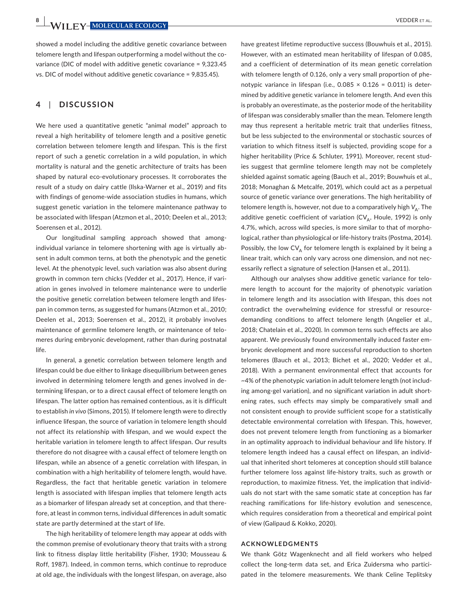**8 W**/II FV-MOLECULAR ECOLOGY **ALL CONSTRANS CONSTRANS CONSTRANS CONSTRANS CONSTRANS CONSTRANS CONSTRANS CONSTRANS CONSTRANS CONSTRANS CONSTRANS CONSTRANS CONSTRANS CONSTRANS CONSTRANS CONSTRANS CONSTRANS CONSTRANS CONST** 

showed a model including the additive genetic covariance between telomere length and lifespan outperforming a model without the covariance (DIC of model with additive genetic covariance = 9,323.45 vs. DIC of model without additive genetic covariance = 9,835.45).

# **4**  | **DISCUSSION**

We here used a quantitative genetic "animal model" approach to reveal a high heritability of telomere length and a positive genetic correlation between telomere length and lifespan. This is the first report of such a genetic correlation in a wild population, in which mortality is natural and the genetic architecture of traits has been shaped by natural eco-evolutionary processes. It corroborates the result of a study on dairy cattle (Ilska-Warner et al., 2019) and fits with findings of genome-wide association studies in humans, which suggest genetic variation in the telomere maintenance pathway to be associated with lifespan (Atzmon et al., 2010; Deelen et al., 2013; Soerensen et al., 2012).

Our longitudinal sampling approach showed that amongindividual variance in telomere shortening with age is virtually absent in adult common terns, at both the phenotypic and the genetic level. At the phenotypic level, such variation was also absent during growth in common tern chicks (Vedder et al., 2017). Hence, if variation in genes involved in telomere maintenance were to underlie the positive genetic correlation between telomere length and lifespan in common terns, as suggested for humans (Atzmon et al., 2010; Deelen et al., 2013; Soerensen et al., 2012), it probably involves maintenance of germline telomere length, or maintenance of telomeres during embryonic development, rather than during postnatal life.

In general, a genetic correlation between telomere length and lifespan could be due either to linkage disequilibrium between genes involved in determining telomere length and genes involved in determining lifespan, or to a direct causal effect of telomere length on lifespan. The latter option has remained contentious, as it is difficult to establish *in vivo* (Simons, 2015). If telomere length were to directly influence lifespan, the source of variation in telomere length should not affect its relationship with lifespan, and we would expect the heritable variation in telomere length to affect lifespan. Our results therefore do not disagree with a causal effect of telomere length on lifespan, while an absence of a genetic correlation with lifespan, in combination with a high heritability of telomere length, would have. Regardless, the fact that heritable genetic variation in telomere length is associated with lifespan implies that telomere length acts as a biomarker of lifespan already set at conception, and that therefore, at least in common terns, individual differences in adult somatic state are partly determined at the start of life.

The high heritability of telomere length may appear at odds with the common premise of evolutionary theory that traits with a strong link to fitness display little heritability (Fisher, 1930; Mousseau & Roff, 1987). Indeed, in common terns, which continue to reproduce at old age, the individuals with the longest lifespan, on average, also

have greatest lifetime reproductive success (Bouwhuis et al., 2015). However, with an estimated mean heritability of lifespan of 0.085, and a coefficient of determination of its mean genetic correlation with telomere length of 0.126, only a very small proportion of phenotypic variance in lifespan (i.e.,  $0.085 \times 0.126 = 0.011$ ) is determined by additive genetic variance in telomere length. And even this is probably an overestimate, as the posterior mode of the heritability of lifespan was considerably smaller than the mean. Telomere length may thus represent a heritable metric trait that underlies fitness, but be less subjected to the environmental or stochastic sources of variation to which fitness itself is subjected, providing scope for a higher heritability (Price & Schluter, 1991). Moreover, recent studies suggest that germline telomere length may not be completely shielded against somatic ageing (Bauch et al., 2019; Bouwhuis et al., 2018; Monaghan & Metcalfe, 2019), which could act as a perpetual source of genetic variance over generations. The high heritability of telomere length is, however, not due to a comparatively high  $V_A$ . The additive genetic coefficient of variation ( $CV_A$ , Houle, 1992) is only 4.7%, which, across wild species, is more similar to that of morphological, rather than physiological or life-history traits (Postma, 2014). Possibly, the low  $CV_{\Delta}$  for telomere length is explained by it being a linear trait, which can only vary across one dimension, and not necessarily reflect a signature of selection (Hansen et al., 2011).

Although our analyses show additive genetic variance for telomere length to account for the majority of phenotypic variation in telomere length and its association with lifespan, this does not contradict the overwhelming evidence for stressful or resourcedemanding conditions to affect telomere length (Angelier et al., 2018; Chatelain et al., 2020). In common terns such effects are also apparent. We previously found environmentally induced faster embryonic development and more successful reproduction to shorten telomeres (Bauch et al., 2013; Bichet et al., 2020; Vedder et al., 2018). With a permanent environmental effect that accounts for ~4% of the phenotypic variation in adult telomere length (not including among-gel variation), and no significant variation in adult shortening rates, such effects may simply be comparatively small and not consistent enough to provide sufficient scope for a statistically detectable environmental correlation with lifespan. This, however, does not prevent telomere length from functioning as a biomarker in an optimality approach to individual behaviour and life history. If telomere length indeed has a causal effect on lifespan, an individual that inherited short telomeres at conception should still balance further telomere loss against life-history traits, such as growth or reproduction, to maximize fitness. Yet, the implication that individuals do not start with the same somatic state at conception has far reaching ramifications for life-history evolution and senescence, which requires consideration from a theoretical and empirical point of view (Galipaud & Kokko, 2020).

#### **ACKNOWLEDGMENTS**

We thank Götz Wagenknecht and all field workers who helped collect the long-term data set, and Erica Zuidersma who participated in the telomere measurements. We thank Celine Teplitsky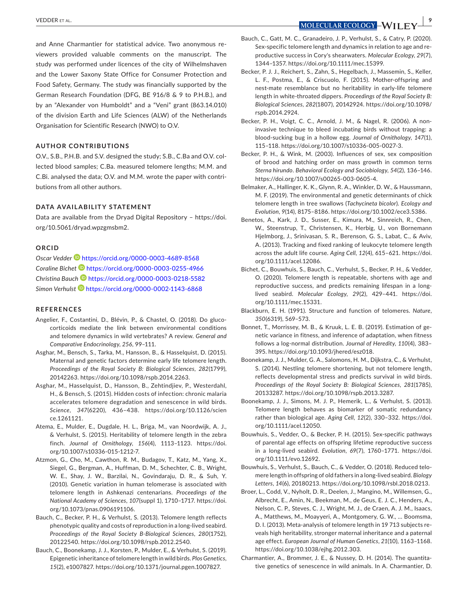and Anne Charmantier for statistical advice. Two anonymous reviewers provided valuable comments on the manuscript. The study was performed under licences of the city of Wilhelmshaven and the Lower Saxony State Office for Consumer Protection and Food Safety, Germany. The study was financially supported by the German Research Foundation (DFG, BE 916/8 & 9 to P.H.B.), and by an "Alexander von Humboldt" and a "Veni" grant (863.14.010) of the division Earth and Life Sciences (ALW) of the Netherlands Organisation for Scientific Research (NWO) to O.V.

## **AUTHOR CONTRIBUTIONS**

O.V., S.B., P.H.B. and S.V. designed the study; S.B., C.Ba and O.V. collected blood samples; C.Ba. measured telomere lengths; M.M. and C.Bi. analysed the data; O.V. and M.M. wrote the paper with contributions from all other authors.

## **DATA AVAILABILITY STATEMENT**

Data are available from the Dryad Digital Repository – [https://doi.](https://doi.org/10.5061/dryad.wpzgmsbm2) [org/10.5061/dryad.wpzgmsbm2](https://doi.org/10.5061/dryad.wpzgmsbm2).

## **ORCID**

*Oscar Vedder* <https://orcid.org/0000-0003-4689-8568> *Coraline Bichet* <https://orcid.org/0000-0003-0255-4966> *Christina Bauch* <https://orcid.org/0000-0003-0218-5582> *Simon Verhulst* <https://orcid.org/0000-0002-1143-6868>

### **REFERENCES**

- Angelier, F., Costantini, D., Blévin, P., & Chastel, O. (2018). Do glucocorticoids mediate the link between environmental conditions and telomere dynamics in wild vertebrates? A review. *General and Comparative Endocrinology*, *256*, 99–111.
- Asghar, M., Bensch, S., Tarka, M., Hansson, B., & Hasselquist, D. (2015). Maternal and genetic factors determine early life telomere length. *Proceedings of the Royal Society B: Biological Sciences*, *282*(1799), 20142263.<https://doi.org/10.1098/rspb.2014.2263>.
- Asghar, M., Hasselquist, D., Hansson, B., Zehtindjiev, P., Westerdahl, H., & Bensch, S. (2015). Hidden costs of infection: chronic malaria accelerates telomere degradation and senescence in wild birds. *Science*, *347*(6220), 436–438. [https://doi.org/10.1126/scien](https://doi.org/10.1126/science.1261121) [ce.1261121](https://doi.org/10.1126/science.1261121).
- Atema, E., Mulder, E., Dugdale, H. L., Briga, M., van Noordwijk, A. J., & Verhulst, S. (2015). Heritability of telomere length in the zebra finch. *Journal of Ornithology*, *156*(4), 1113–1123. [https://doi.](https://doi.org/10.1007/s10336-015-1212-7) [org/10.1007/s10336-015-1212-7.](https://doi.org/10.1007/s10336-015-1212-7)
- Atzmon, G., Cho, M., Cawthon, R. M., Budagov, T., Katz, M., Yang, X., Siegel, G., Bergman, A., Huffman, D. M., Schechter, C. B., Wright, W. E., Shay, J. W., Barzilai, N., Govindaraju, D. R., & Suh, Y. (2010). Genetic variation in human telomerase is associated with telomere length in Ashkenazi centenarians. *Proceedings of the National Academy of Sciences*, *107*(suppl 1), 1710–1717. [https://doi.](https://doi.org/10.1073/pnas.0906191106) [org/10.1073/pnas.0906191106](https://doi.org/10.1073/pnas.0906191106).
- Bauch, C., Becker, P. H., & Verhulst, S. (2013). Telomere length reflects phenotypic quality and costs of reproduction in a long-lived seabird. *Proceedings of the Royal Society B-Biological Sciences*, *280*(1752), 20122540.<https://doi.org/10.1098/rspb.2012.2540>.
- Bauch, C., Boonekamp, J. J., Korsten, P., Mulder, E., & Verhulst, S. (2019). Epigenetic inheritance of telomere length in wild birds. *Plos Genetics*, *15*(2), e1007827. <https://doi.org/10.1371/journal.pgen.1007827>.
- Bauch, C., Gatt, M. C., Granadeiro, J. P., Verhulst, S., & Catry, P. (2020). Sex-specific telomere length and dynamics in relation to age and reproductive success in Cory's shearwaters. *Molecular Ecology*, *29*(7), 1344–1357. <https://doi.org/10.1111/mec.15399>.
- Becker, P. J. J., Reichert, S., Zahn, S., Hegelbach, J., Massemin, S., Keller, L. F., Postma, E., & Criscuolo, F. (2015). Mother-offspring and nest-mate resemblance but no heritability in early-life telomere length in white-throated dippers. *Proceedings of the Royal Society B: Biological Sciences*, *282*(1807), 20142924. [https://doi.org/10.1098/](https://doi.org/10.1098/rspb.2014.2924) [rspb.2014.2924.](https://doi.org/10.1098/rspb.2014.2924)
- Becker, P. H., Voigt, C. C., Arnold, J. M., & Nagel, R. (2006). A noninvasive technique to bleed incubating birds without trapping: a blood-sucking bug in a hollow egg. *Journal of Ornithology*, *147*(1), 115–118. [https://doi.org/10.1007/s10336-005-0027-3.](https://doi.org/10.1007/s10336-005-0027-3)
- Becker, P. H., & Wink, M. (2003). Influences of sex, sex composition of brood and hatching order on mass growth in common terns *Sterna hirundo*. *Behavioral Ecology and Sociobiology*, *54*(2), 136–146. [https://doi.org/10.1007/s00265-003-0605-4.](https://doi.org/10.1007/s00265-003-0605-4)
- Belmaker, A., Hallinger, K. K., Glynn, R. A., Winkler, D. W., & Haussmann, M. F. (2019). The environmental and genetic determinants of chick telomere length in tree swallows (*Tachycineta bicolor*). *Ecology and Evolution*, *9*(14), 8175–8186.<https://doi.org/10.1002/ece3.5386>.
- Benetos, A., Kark, J. D., Susser, E., Kimura, M., Sinnreich, R., Chen, W., Steenstrup, T., Christensen, K., Herbig, U., von Bornemann Hjelmborg, J., Srinivasan, S. R., Berenson, G. S., Labat, C., & Aviv, A. (2013). Tracking and fixed ranking of leukocyte telomere length across the adult life course. *Aging Cell*, *12*(4), 615–621. [https://doi.](https://doi.org/10.1111/acel.12086) [org/10.1111/acel.12086](https://doi.org/10.1111/acel.12086).
- Bichet, C., Bouwhuis, S., Bauch, C., Verhulst, S., Becker, P. H., & Vedder, O. (2020). Telomere length is repeatable, shortens with age and reproductive success, and predicts remaining lifespan in a longlived seabird. *Molecular Ecology*, *29*(2), 429–441. [https://doi.](https://doi.org/10.1111/mec.15331) [org/10.1111/mec.15331.](https://doi.org/10.1111/mec.15331)
- Blackburn, E. H. (1991). Structure and function of telomeres. *Nature*, *350*(6319), 569–573.
- Bonnet, T., Morrissey, M. B., & Kruuk, L. E. B. (2019). Estimation of genetic variance in fitness, and inference of adaptation, when fitness follows a log-normal distribution. *Journal of Heredity*, *110*(4), 383– 395. <https://doi.org/10.1093/jhered/esz018>.
- Boonekamp, J. J., Mulder, G. A., Salomons, H. M., Dijkstra, C., & Verhulst, S. (2014). Nestling telomere shortening, but not telomere length, reflects developmental stress and predicts survival in wild birds. *Proceedings of the Royal Society B: Biological Sciences*, *281*(1785), 20133287. [https://doi.org/10.1098/rspb.2013.3287.](https://doi.org/10.1098/rspb.2013.3287)
- Boonekamp, J. J., Simons, M. J. P., Hemerik, L., & Verhulst, S. (2013). Telomere length behaves as biomarker of somatic redundancy rather than biological age. *Aging Cell*, *12*(2), 330–332. [https://doi.](https://doi.org/10.1111/acel.12050) [org/10.1111/acel.12050](https://doi.org/10.1111/acel.12050).
- Bouwhuis, S., Vedder, O., & Becker, P. H. (2015). Sex-specific pathways of parental age effects on offspring lifetime reproductive success in a long-lived seabird. *Evolution*, *69*(7), 1760–1771. [https://doi.](https://doi.org/10.1111/evo.12692) [org/10.1111/evo.12692](https://doi.org/10.1111/evo.12692).
- Bouwhuis, S., Verhulst, S., Bauch, C., & Vedder, O. (2018). Reduced telomere length in offspring of old fathers in a long-lived seabird. *Biology Letters*, *14*(6), 20180213.<https://doi.org/10.1098/rsbl.2018.0213>.
- Broer, L., Codd, V., Nyholt, D. R., Deelen, J., Mangino, M., Willemsen, G., Albrecht, E., Amin, N., Beekman, M., de Geus, E. J. C., Henders, A., Nelson, C. P., Steves, C. J., Wright, M. J., de Craen, A. J. M., Isaacs, A., Matthews, M., Moayyeri, A., Montgomery, G. W., … Boomsma, D. I. (2013). Meta-analysis of telomere length in 19 713 subjects reveals high heritability, stronger maternal inheritance and a paternal age effect. *European Journal of Human Genetics*, *21*(10), 1163–1168. <https://doi.org/10.1038/ejhg.2012.303>.
- Charmantier, A., Brommer, J. E., & Nussey, D. H. (2014). The quantitative genetics of senescence in wild animals. In A. Charmantier, D.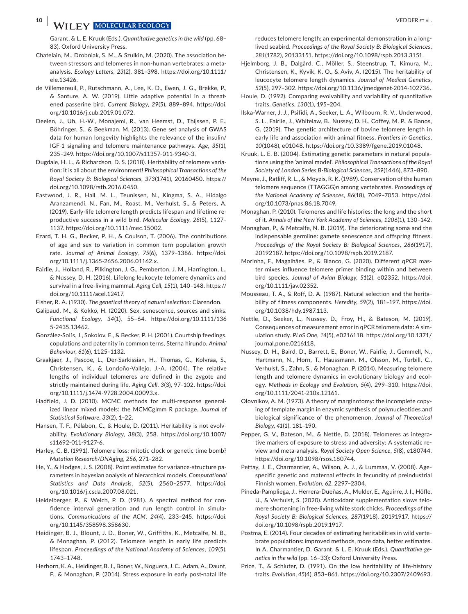**10 <sup>|</sup>**  VEDDER et al.

Garant, & L. E. Kruuk (Eds.), *Quantitative genetics in the wild* (pp. 68– 83). Oxford University Press.

- Chatelain, M., Drobniak, S. M., & Szulkin, M. (2020). The association between stressors and telomeres in non-human vertebrates: a metaanalysis. *Ecology Letters*, *23*(2), 381–398. [https://doi.org/10.1111/](https://doi.org/10.1111/ele.13426) [ele.13426](https://doi.org/10.1111/ele.13426).
- de Villemereuil, P., Rutschmann, A., Lee, K. D., Ewen, J. G., Brekke, P., & Santure, A. W. (2019). Little adaptive potential in a threatened passerine bird. *Current Biology*, *29*(5), 889–894. [https://doi.](https://doi.org/10.1016/j.cub.2019.01.072) [org/10.1016/j.cub.2019.01.072.](https://doi.org/10.1016/j.cub.2019.01.072)
- Deelen, J., Uh, H.-W., Monajemi, R., van Heemst, D., Thijssen, P. E., Böhringer, S., & Beekman, M. (2013). Gene set analysis of GWAS data for human longevity highlights the relevance of the insulin/ IGF-1 signaling and telomere maintenance pathways. *Age*, *35*(1), 235–249. [https://doi.org/10.1007/s11357-011-9340-3.](https://doi.org/10.1007/s11357-011-9340-3)
- Dugdale, H. L., & Richardson, D. S. (2018). Heritability of telomere variation: it is all about the environment! *Philosophical Transactions of the Royal Society B: Biological Sciences*, *373*(1741), 20160450. [https://](https://doi.org/10.1098/rstb.2016.0450) [doi.org/10.1098/rstb.2016.0450.](https://doi.org/10.1098/rstb.2016.0450)
- Eastwood, J. R., Hall, M. L., Teunissen, N., Kingma, S. A., Hidalgo Aranzamendi, N., Fan, M., Roast, M., Verhulst, S., & Peters, A. (2019). Early-life telomere length predicts lifespan and lifetime reproductive success in a wild bird. *Molecular Ecology*, *28*(5), 1127– 1137. <https://doi.org/10.1111/mec.15002>.
- Ezard, T. H. G., Becker, P. H., & Coulson, T. (2006). The contributions of age and sex to variation in common tern population growth rate. *Journal of Animal Ecology*, *75*(6), 1379–1386. [https://doi.](https://doi.org/10.1111/j.1365-2656.2006.01162.x) [org/10.1111/j.1365-2656.2006.01162.x.](https://doi.org/10.1111/j.1365-2656.2006.01162.x)
- Fairlie, J., Holland, R., Pilkington, J. G., Pemberton, J. M., Harrington, L., & Nussey, D. H. (2016). Lifelong leukocyte telomere dynamics and survival in a free-living mammal. *Aging Cell*, *15*(1), 140–148. [https://](https://doi.org/10.1111/acel.12417) [doi.org/10.1111/acel.12417.](https://doi.org/10.1111/acel.12417)
- Fisher, R. A. (1930). *The genetical theory of natural selection*: Clarendon.
- Galipaud, M., & Kokko, H. (2020). Sex, senescence, sources and sinks. *Functional Ecology*, *34*(1), 55–64. [https://doi.org/10.1111/136](https://doi.org/10.1111/1365-2435.13462) [5-2435.13462](https://doi.org/10.1111/1365-2435.13462).
- González-Solís, J., Sokolov, E., & Becker, P. H. (2001). Courtship feedings, copulations and paternity in common terns, Sterna hirundo. *Animal Behaviour*, *61*(6), 1125–1132.
- Graakjaer, J., Pascoe, L., Der-Sarkissian, H., Thomas, G., Kolvraa, S., Christensen, K., & Londoño-Vallejo, J.-A. (2004). The relative lengths of individual telomeres are defined in the zygote and strictly maintained during life. *Aging Cell*, *3*(3), 97–102. [https://doi.](https://doi.org/10.1111/j.1474-9728.2004.00093.x) [org/10.1111/j.1474-9728.2004.00093.x.](https://doi.org/10.1111/j.1474-9728.2004.00093.x)
- Hadfield, J. D. (2010). MCMC methods for multi-response generalized linear mixed models: the MCMCglmm R package. *Journal of Statistical Software*, *33*(2), 1–22.
- Hansen, T. F., Pélabon, C., & Houle, D. (2011). Heritability is not evolvability. *Evolutionary Biology*, *38*(3), 258. [https://doi.org/10.1007/](https://doi.org/10.1007/s11692-011-9127-6) [s11692-011-9127-6.](https://doi.org/10.1007/s11692-011-9127-6)
- Harley, C. B. (1991). Telomere loss: mitotic clock or genetic time bomb? *Mutation Research/DNAging*, *256*, 271–282.
- He, Y., & Hodges, J. S. (2008). Point estimates for variance-structure parameters in bayesian analysis of hierarchical models. *Computational Statistics and Data Analysis*, *52*(5), 2560–2577. [https://doi.](https://doi.org/10.1016/j.csda.2007.08.021) [org/10.1016/j.csda.2007.08.021.](https://doi.org/10.1016/j.csda.2007.08.021)
- Heidelberger, P., & Welch, P. D. (1981). A spectral method for confidence interval generation and run length control in simulations. *Communications of the ACM*, *24*(4), 233–245. [https://doi.](https://doi.org/10.1145/358598.358630) [org/10.1145/358598.358630.](https://doi.org/10.1145/358598.358630)
- Heidinger, B. J., Blount, J. D., Boner, W., Griffiths, K., Metcalfe, N. B., & Monaghan, P. (2012). Telomere length in early life predicts lifespan. *Proceedings of the National Academy of Sciences*, *109*(5), 1743–1748.
- Herborn, K. A., Heidinger, B. J., Boner, W., Noguera, J. C., Adam, A., Daunt, F., & Monaghan, P. (2014). Stress exposure in early post-natal life

reduces telomere length: an experimental demonstration in a longlived seabird. *Proceedings of the Royal Society B: Biological Sciences*, *281*(1782), 20133151. [https://doi.org/10.1098/rspb.2013.3151.](https://doi.org/10.1098/rspb.2013.3151)

- Hjelmborg, J. B., Dalgård, C., Möller, S., Steenstrup, T., Kimura, M., Christensen, K., Kyvik, K. O., & Aviv, A. (2015). The heritability of leucocyte telomere length dynamics. *Journal of Medical Genetics*, *52*(5), 297–302. [https://doi.org/10.1136/jmedgenet-2014-102736.](https://doi.org/10.1136/jmedgenet-2014-102736)
- Houle, D. (1992). Comparing evolvability and variability of quantitative traits. *Genetics*, *130*(1), 195–204.
- Ilska-Warner, J. J., Psifidi, A., Seeker, L. A., Wilbourn, R. V., Underwood, S. L., Fairlie, J., Whitelaw, B., Nussey, D. H., Coffey, M. P., & Banos, G. (2019). The genetic architecture of bovine telomere length in early life and association with animal fitness. *Frontiers in Genetics*, *10*(1048), e01048. [https://doi.org/10.3389/fgene.2019.01048.](https://doi.org/10.3389/fgene.2019.01048)
- Kruuk, L. E. B. (2004). Estimating genetic parameters in natural populations using the 'animal model'. *Philosophical Transactions of the Royal Society of London Series B-Biological Sciences*, *359*(1446), 873–890.
- Meyne, J., Ratliff, R. L., & Moyzis, R. K. (1989). Conservation of the human telomere sequence (TTAGGG)*n* among vertebrates. *Proceedings of the National Academy of Sciences*, *86*(18), 7049–7053. [https://doi.](https://doi.org/10.1073/pnas.86.18.7049) [org/10.1073/pnas.86.18.7049](https://doi.org/10.1073/pnas.86.18.7049).
- Monaghan, P. (2010). Telomeres and life histories: the long and the short of it. *Annals of the New York Academy of Sciences*, *1206*(1), 130–142.
- Monaghan, P., & Metcalfe, N. B. (2019). The deteriorating soma and the indispensable germline: gamete senescence and offspring fitness. *Proceedings of the Royal Society B: Biological Sciences*, *286*(1917), 20192187. <https://doi.org/10.1098/rspb.2019.2187>.
- Morinha, F., Magalhães, P., & Blanco, G. (2020). Different qPCR master mixes influence telomere primer binding within and between bird species. *Journal of Avian Biology*, *51*(2), e02352. [https://doi.](https://doi.org/10.1111/jav.02352) [org/10.1111/jav.02352](https://doi.org/10.1111/jav.02352).
- Mousseau, T. A., & Roff, D. A. (1987). Natural selection and the heritability of fitness components. *Heredity*, *59*(2), 181–197. [https://doi.](https://doi.org/10.1038/hdy.1987.113) [org/10.1038/hdy.1987.113.](https://doi.org/10.1038/hdy.1987.113)
- Nettle, D., Seeker, L., Nussey, D., Froy, H., & Bateson, M. (2019). Consequences of measurement error in qPCR telomere data: A simulation study. *PLoS One*, *14*(5), e0216118. [https://doi.org/10.1371/](https://doi.org/10.1371/journal.pone.0216118) [journal.pone.0216118](https://doi.org/10.1371/journal.pone.0216118).
- Nussey, D. H., Baird, D., Barrett, E., Boner, W., Fairlie, J., Gemmell, N., Hartmann, N., Horn, T., Haussmann, M., Olsson, M., Turbill, C., Verhulst, S., Zahn, S., & Monaghan, P. (2014). Measuring telomere length and telomere dynamics in evolutionary biology and ecology. *Methods in Ecology and Evolution*, *5*(4), 299–310. [https://doi.](https://doi.org/10.1111/2041-210x.12161) [org/10.1111/2041-210x.12161.](https://doi.org/10.1111/2041-210x.12161)
- Olovnikov, A. M. (1973). A theory of marginotomy: the incomplete copying of template margin in enzymic synthesis of polynucleotides and biological significance of the phenomenon. *Journal of Theoretical Biology*, *41*(1), 181–190.
- Pepper, G. V., Bateson, M., & Nettle, D. (2018). Telomeres as integrative markers of exposure to stress and adversity: A systematic review and meta-analysis. *Royal Society Open Science*, *5*(8), e180744. <https://doi.org/10.1098/rsos.180744>.
- Pettay, J. E., Charmantier, A., Wilson, A. J., & Lummaa, V. (2008). Agespecific genetic and maternal effects in fecundity of preindustrial Finnish women. *Evolution*, *62*, 2297–2304.
- Pineda-Pampliega, J., Herrera-Dueñas, A., Mulder, E., Aguirre, J. I., Höfle, U., & Verhulst, S. (2020). Antioxidant supplementation slows telomere shortening in free-living white stork chicks. *Proceedings of the Royal Society B: Biological Sciences*, *287*(1918), 20191917. [https://](https://doi.org/10.1098/rspb.2019.1917) [doi.org/10.1098/rspb.2019.1917.](https://doi.org/10.1098/rspb.2019.1917)
- Postma, E. (2014). Four decades of estimating heritabilities in wild vertebrate populations: improved methods, more data, better estimates. In A. Charmantier, D. Garant, & L. E. Kruuk (Eds.), *Quantitative genetics in the wild* (pp. 16–33): Oxford University Press.
- Price, T., & Schluter, D. (1991). On the low heritability of life-history traits. *Evolution*, *45*(4), 853–861. [https://doi.org/10.2307/2409693.](https://doi.org/10.2307/2409693)